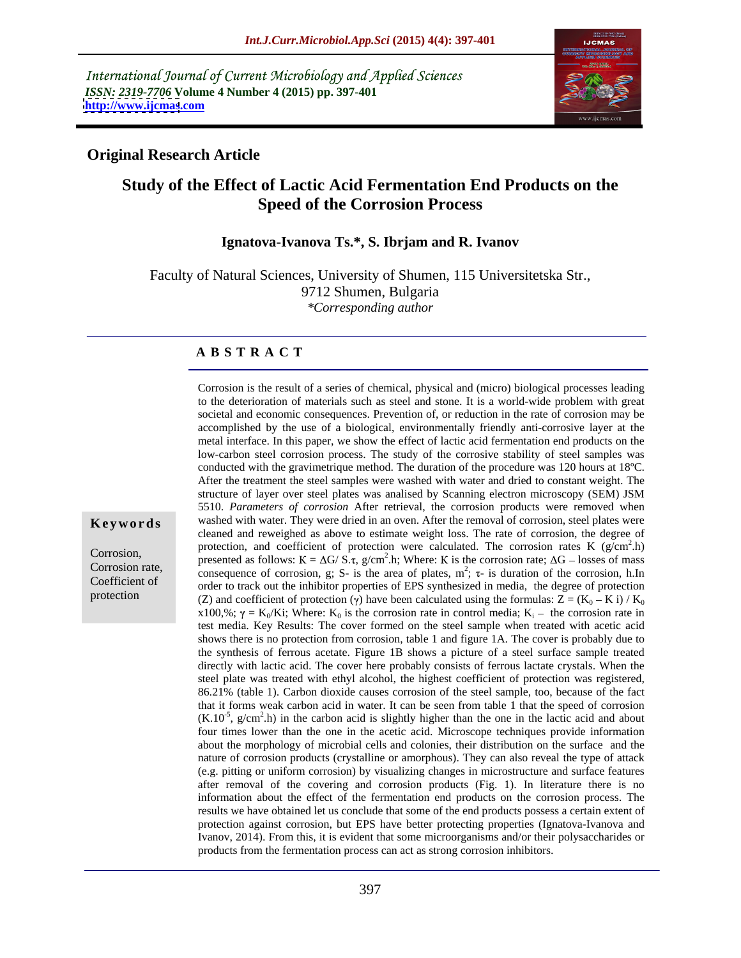International Journal of Current Microbiology and Applied Sciences *ISSN: 2319-7706* **Volume 4 Number 4 (2015) pp. 397-401 <http://www.ijcmas>.com**



## **Original Research Article**

# **Study of the Effect of Lactic Acid Fermentation End Products on the Speed of the Corrosion Process**

### **Ignatova-Ivanova Ts.\*, S. Ibrjam and R. Ivanov**

Faculty of Natural Sciences, University of Shumen, 115 Universitetska Str., 9712 Shumen, Bulgaria *\*Corresponding author*

### **A B S T R A C T**

Corrosion is the result of a series of chemical, physical and (micro) biological processes leading to the deterioration of materials such as steel and stone. It is a world-wide problem with great societal and economic consequences. Prevention of, or reduction in the rate of corrosion may be accomplished by the use of a biological, environmentally friendly anti-corrosive layer at the metal interface. In this paper, we show the effect of lactic acid fermentation end products on the low-carbon steel corrosion process. The study of the corrosive stability of steel samples was conducted with the gravimetrique method. The duration of the procedure was 120 hours at 18ºC. After the treatment the steel samples were washed with water and dried to constant weight. The structure of layer over steel plates was analised by Scanning electron microscopy (SEM) JSM 5510. *Parameters of corrosion* After retrieval, the corrosion products were removed when cleaned and reweighed as above to estimate weight loss. The rate of corrosion, the degree of protection, and coefficient of protection were calculated. The corrosion rates K  $(g/cm<sup>2</sup> h)$  $2<sub>b</sub>$ .h) Corrosion,<br>
presented as follows:  $K = \Delta G / S.\tau$ ,  $g/cm^2.h$ ; Where: K is the corrosion rate;  $\Delta G$  – losses of mass Corrosion rate,<br>
consequence of corrosion, g; S- is the area of plates,  $m^2$ ;  $\tau$ - is duration of the corrosion, h.In Corrosion rate, consequence of corrosion, g; S- is the area of plates,  $m^2$ ;  $\tau$ - is duration of the corrosion, h.In order to track out the inhibitor properties of EPS synthesized in media, the degree of protection (Z) and coefficient of protection ( $\gamma$ ) have been calculated using the formulas: Z = (K<sub>0</sub> – K i) / K<sub>0</sub> x100,%;  $\gamma$  = K<sub>0</sub>/Ki; Where: K<sub>0</sub> is the corrosion rate in control media; K<sub>i</sub> – the corrosion rate in Ki; Where:  $K_0$  is the corrosion rate in control media;  $K_i$  – the corrosion rate in the corrosion rate in test media. Key Results: The cover formed on the steel sample when treated with acetic acid shows there is no protection from corrosion, table 1 and figure 1A. The cover is probably due to the synthesis of ferrous acetate. Figure 1B shows a picture of a steel surface sample treated directly with lactic acid. The cover here probably consists of ferrous lactate crystals. When the steel plate was treated with ethyl alcohol, the highest coefficient of protection was registered, 86.21% (table 1). Carbon dioxide causes corrosion of the steel sample, too, because of the fact that it forms weak carbon acid in water. It can be seen from table 1 that the speed of corrosion  $(K.10^{-5}, g/cm<sup>2</sup> \text{h})$  in the carbon acid is slightly higher than the one in the lactic acid and about four times lower than the one in the acetic acid. Microscope techniques provide information about the morphology of microbial cells and colonies, their distribution on the surface and the nature of corrosion products (crystalline or amorphous). They can also reveal the type of attack (e.g. pitting or uniform corrosion) by visualizing changes in microstructure and surface features after removal of the covering and corrosion products (Fig. 1). In literature there is no information about the effect of the fermentation end products on the corrosion process. The results we have obtained let us conclude that some of the end products possess a certain extent of protection against corrosion, but EPS have better protecting properties (Ignatova-Ivanova and Ivanov, 2014). From this, it is evident that some microorganisms and/or their polysaccharides or products from the fermentation process can act as strong corrosion inhibitors. **Keywords** washed with water. They were dried in an oven. After the removal of corrosion, steel plates were

protection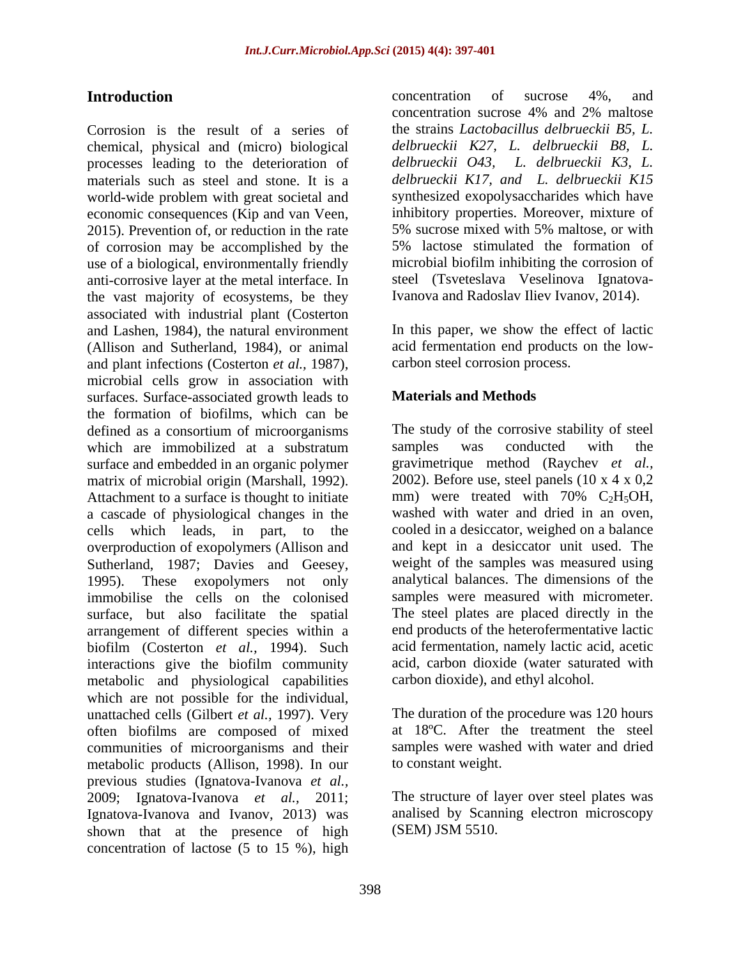Corrosion is the result of a series of chemical, physical and (micro) biological processes leading to the deterioration of materials such as steel and stone. It is a *delbrueckii K17, and L. delbrueckii K15* world-wide problem with great societal and economic consequences (Kip and van Veen, inhibitory properties. Moreover, mixture of 2015). Prevention of, or reduction in the rate 5% sucrose mixed with 5% maltose, or with of corrosion may be accomplished by the 5% lactose stimulated the formation of use of a biological, environmentally friendly anti-corrosive layer at the metal interface. In steel (Tsveteslava Veselinova Ignatovathe vast majority of ecosystems, be they associated with industrial plant (Costerton and Lashen, 1984), the natural environment (Allison and Sutherland, 1984), or animal acid fermentation end products on the low and plant infections (Costerton *et al.*, 1987), carbon steel corrosion process.<br>microbial cells grow in association with surfaces. Surface-associated growth leads to **Materials and Methods** the formation of biofilms, which can be defined as a consortium of microorganisms which are immobilized at a substratum samples was conducted with the surface and embedded in an organic polymer matrix of microbial origin (Marshall, 1992). <br>Attachment to a surface is thought to initiate a mm were treated with  $70\%$  C<sub>2</sub>H<sub>5</sub>OH, a cascade of physiological changes in the cells which leads, in part, to the overproduction of exopolymers (Allison and Sutherland, 1987; Davies and Geesey, weight of the samples was measured using<br>1995). These exopolymers not only analytical balances. The dimensions of the immobilise the cells on the colonised surface, but also facilitate the spatial arrangement of different species within a biofilm (Costerton *et al.,* 1994). Such interactions give the biofilm community metabolic and physiological capabilities which are not possible for the individual, unattached cells (Gilbert *et al.,* 1997). Very often biofilms are composed of mixed communities of microorganisms and their metabolic products (Allison, 1998). In our previous studies (Ignatova-Ivanova *et al.,* 2009; Ignatova-Ivanova *et al.,* 2011; The structure of layer over steel plates was Ignatova-Ivanova and Ivanov, 2013) was shown that at the presence of high concentration of lactose (5 to 15 %), high

**Introduction** concentration of sucrose 4%, and concentration of sucrose 4%, and concentration sucrose 4% and 2% maltose the strains *Lactobacillus delbrueckii B5, L. delbrueckii K27, L. delbrueckii B8, L. delbrueckii O43, L.delbrueckii K3, L.* synthesized exopolysaccharides which have inhibitory properties. Moreover, mixture of 5% sucrose mixed with 5% maltose, or with 5% lactose stimulated the formation of microbial biofilm inhibiting the corrosion of Ivanova and Radoslav Iliev Ivanov, 2014).

> In this paper, we show the effect of lactic carbon steel corrosion process.

## **Materials and Methods**

The study of the corrosive stability of steel samples was conducted with the gravimetrique method (Raychev *et al.,* 2002). Before use, steel panels  $(10 \times 4 \times 0.2)$ mm) were treated with  $70\%$  C<sub>2</sub>H<sub>5</sub>OH, washed with water and dried in an oven, cooled in a desiccator, weighed on a balance and kept in a desiccator unit used. The weight of the samples was measured using analytical balances. The dimensions of the samples were measured with micrometer. The steel plates are placed directly in the end products of the heterofermentative lactic acid fermentation, namely lactic acid, acetic acid, carbon dioxide (water saturated with carbon dioxide), and ethyl alcohol.

The duration of the procedure was 120 hours at 18ºC. After the treatment the steel samples were washed with water and dried to constant weight.

analised by Scanning electron microscopy (SEM) JSM 5510.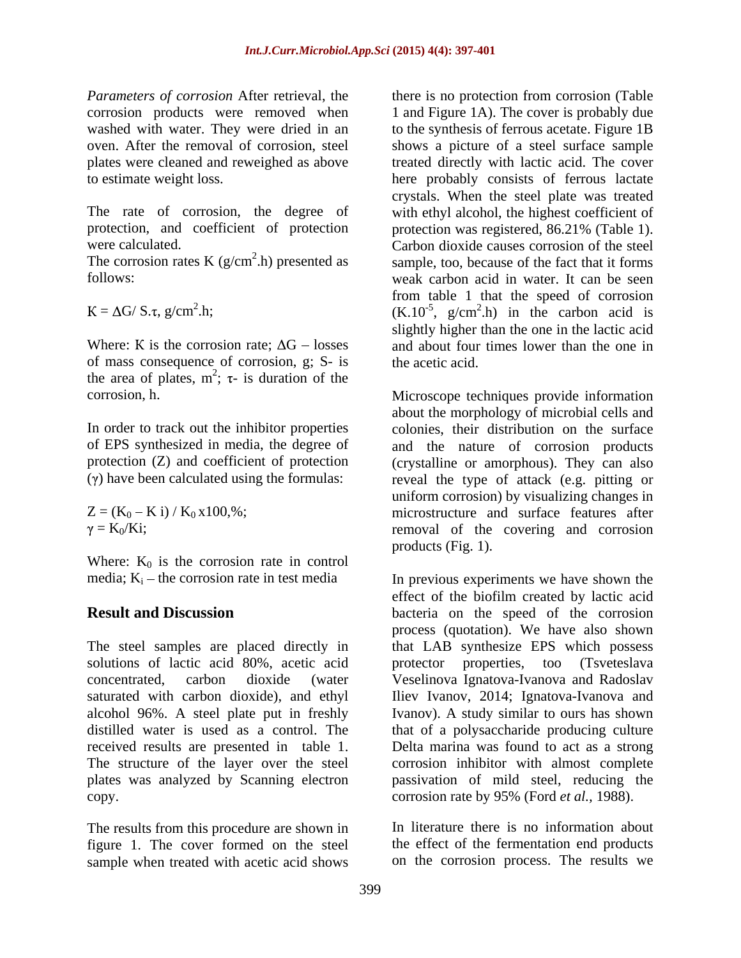*Parameters of corrosion* After retrieval, the there is no protection from corrosion (Table

protection, and coefficient of protection protection was registered, 86.21% (Table 1).

The corrosion rates K ( $g/cm<sup>2</sup>$ .h) presented as

of mass consequence of corrosion, g; S- is the area of plates,  $m^2$ ;  $\tau$ - is duration of the  $\tau$  is duration of the

In order to track out the inhibitor properties

Where:  $K_0$  is the corrosion rate in control media;  $K_i$  – the corrosion rate in test media

solutions of lactic acid 80%, acetic acid protector alcohol 96%. A steel plate put in freshly received results are presented in table 1. copy. corrosion rate by 95% (Ford *et al.*, 1988).

figure 1. The cover formed on the steel sample when treated with acetic acid shows

corrosion products were removed when 1 and Figure 1A). The cover is probably due washed with water. They were dried in an to the synthesis of ferrous acetate. Figure 1B oven. After the removal of corrosion, steel shows a picture of a steel surface sample plates were cleaned and reweighed as above treated directly with lactic acid. The cover to estimate weight loss. here probably consists of ferrous lactate The rate of corrosion, the degree of with ethyl alcohol, the highest coefficient of were calculated. Carbon dioxide causes corrosion of the steel  $2$ h) presented as sample, too, because of the fact that it forms follows:<br>
weak carbon acid in water. It can be seen<br>
from table 1 that the speed of corrosion<br>  $K = \Delta G / S.\tau, g/cm^2.h;$ <br>  $(K.10^{-5}, g/cm^2.h)$  in the carbon acid is <sup>2</sup>.h; (K.10<sup>-5</sup>, g/cm<sup>2</sup>.h) in the carbon acid is Where: K is the corrosion rate;  $\Delta G$  – losses and about four times lower than the one in crystals. When the steel plate was treated protection was registered, 86.21% (Table 1). weak carbon acid in water. It can be seen from table 1 that the speed of corrosion slightly higher than the one in the lactic acid the acetic acid.

corrosion, h. Microscope techniques provide information of EPS synthesized in media, the degree of and the nature of corrosion products protection (Z) and coefficient of protection (crystalline or amorphous). They can also (γ) have been calculated using the formulas: reveal the type of attack (e.g. pitting or  $Z = (K_0 - K i) / K_0 x 100$ ,%; microstructure and surface features after  $= K_0/Ki$ ; removal of the covering and corrosion about the morphology of microbial cells and colonies, their distribution on the surface uniform corrosion) by visualizing changes in products (Fig. 1).

the corrosion rate in test media In previous experiments we have shown the **Result and Discussion bacteria** on the speed of the corrosion The steel samples are placed directly in that LAB synthesize EPS which possess concentrated, carbon dioxide (water Veselinova Ignatova-Ivanova and Radoslav saturated with carbon dioxide), and ethyl Iliev Ivanov, 2014; Ignatova-Ivanova and distilled water is used as a control. The that of a polysaccharide producing culture The structure of the layer over the steel corrosion inhibitor with almost complete plates was analyzed by Scanning electron passivation of mild steel, reducing the effect of the biofilm created by lactic acid process (quotation). We have also shown properties, too (Tsveteslava Ivanov). A study similar to ours has shown Delta marina was found to act as a strong

The results from this procedure are shown in In literature there is no information about corrosion rate by 95% (Ford *et al.,* 1988). In literature there is no information about the effect of the fermentation end products on the corrosion process. The results we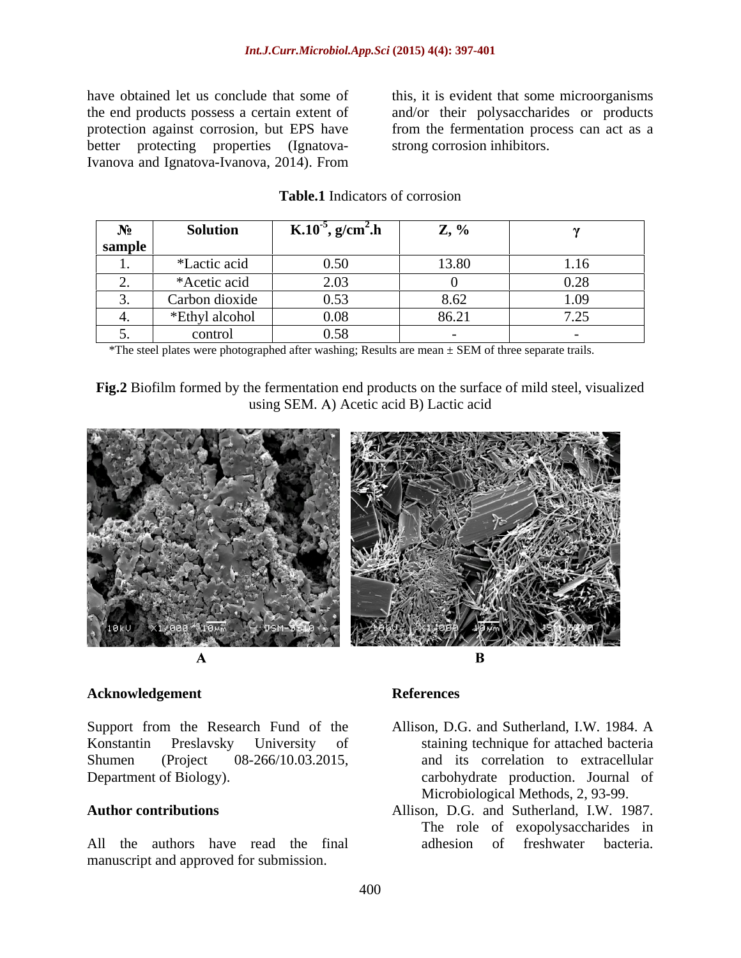better protecting properties (Ignatova-Ivanova and Ignatova-Ivanova, 2014). From

have obtained let us conclude that some of this, it is evident that some microorganisms the end products possess a certain extent of and/or their polysaccharides or products protection against corrosion, but EPS have from the fermentation process can act as a strong corrosion inhibitors.

| $\sim$ $\sim$ | <b>Solution</b>                | <b>1</b> K.10 <sup>-5</sup> , g/cm <sup>2</sup> .h | $\mathbf{Z}, \mathcal{V}_0$ |       |
|---------------|--------------------------------|----------------------------------------------------|-----------------------------|-------|
| sample        |                                |                                                    |                             |       |
|               | *Lactic acid                   | 0.50                                               | 13.80                       | 1.16  |
|               | *Acetic acid                   | $\cap$ $\cap$                                      |                             |       |
|               | Carbon dioxide                 | 0.53                                               | $\circ$ c<br>1 L L Z        | 1.09  |
|               | *Ethyl alcohol                 | 0.08                                               | - 86 S                      | $  -$ |
|               | contr<br>$\sim$ 0.11 $\mu$ 0.1 | 0.58<br>$\mathsf{v}.\mathsf{v}$                    |                             |       |

## **Table.1** Indicators of corrosion

\*The steel plates were photographed after washing; Results are mean ± SEM of three separate trails.

**Fig.2** Biofilm formed by the fermentation end products on the surface of mild steel, visualized using SEM. A) Acetic acid B) Lactic acid



### **Acknowledgement**

Support from the Research Fund of the Konstantin Preslavsky University of staining technique for attached bacteria Shumen (Project 08-266/10.03.2015, and its correlation to extracellular Department of Biology). carbohydrate production. Journal of

manuscript and approved for submission.

## **References**

- Allison, D.G. and Sutherland, I.W. 1984. A Microbiological Methods, 2, 93-99.
- **Author contributions** Allison, D.G. and Sutherland, I.W. 1987. All the authors have read the final adhesion of freshwater bacteria. The role of exopolysaccharides in adhesion of freshwater bacteria.